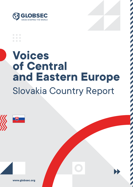

## **Voices of Central and Eastern Europe** Slovakia Country Report



**www.globsec.org**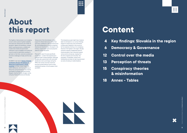

## **Content**

## **4 Key findings: Slovakia in the region**

- 
- **6 Democracy & Governance**
- **12 Control over the media**
- **13 Perception of threats**
- **15 Conspiracy theories & misinformation**
- **18 Annex Tables**



The fragility of democracies is an increasing concern amid a period of global instability and insecurity reinforced by the COVID-19 pandemic. Against this backdrop, a shared belief in good governance, a reliable and trusted news media and government institutions, and an engaged civil society are now all crucial for democratic societies to get back on their feet, overcome societal and economic challenges of today and the near future.

GLOBSEC's new report, **[Voices of Central](https://www.globsec.org/publications/voices-of-central-and-eastern-europe/)  and Eastern Europe: [Perceptions](https://www.globsec.org/publications/voices-of-central-and-eastern-europe/) of [democracy & governance in 10 EU](https://www.globsec.org/publications/voices-of-central-and-eastern-europe/)  [countries](https://www.globsec.org/publications/voices-of-central-and-eastern-europe/)**, provides unique insight into public satisfaction with the functioning of democracy and governance in ten Central and Eastern European countries: Austria, Bulgaria, Czechia, Estonia, Hungary, Latvia, Lithuania, Poland, Romania and Slovakia.

Taking note of the links between citizen support for liberal democracy (rather than autocracy), satisfaction with governance and life, and predispositions towards conspiracy theories and misinformation, the report, in its entirety, reveals fragile spots and pinpoints areas for further discussion.

This country report focuses specifically on Slovakia – a nation that experienced a turbulent path to democratisation. Although Slovakia saw a government with autocratic tendencies rule, by and large, during the 1990s, the country now has a record of economic growth behind it and is a fully established member of the European Union and NATO.

This tempestuous past might have, however, taken its toll based on our survey's findings. Support for democracy and commitment to democratic freedoms in the country is far from absolute. And buy-in to conspiracy theories is the highest in the region. Slovaks, moreover, express a heightened sense of threat perception that is directed towards various actors and groups, ranging from the US to migrants and minorities. The population, nonetheless, values its EU membership and does not see its government as overly intruding on media freedoms.

Y Y Y<br>A A A

## **About this report**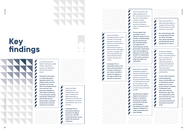

## **Key findings**



In countries that score higher in democracy quality indexes, respondents express more satisfaction with their governance system.

**Compared to the region as a whole, Slovakia is typically ranked in the middle among countries included in our survey (5th in the Freedom House score and 6th in the Economist Intelligence Unit's Democracy Score) in the democracy indexes. And Slovaks' Satisfaction with the Governance System Index, is similarly sandwiched in-between countries we surveyed.**

Support for liberal democracy is not straightforward in the region. Preference for liberal democracy, as opposed to autocratic rule, is endorsed by over 50% of respondents in only 5 of 10 countries.

**In Slovakia, 49% of respondents express a preference for liberal democracy, with 38% instead favouring a strong leader with autocratic tendencies.**

Only a minority, 28%, of CEE respondents agree, on average, with the narrative that their values are under threat due to the "West".

**But within Slovakia, 50% of respondents feel that the "West" threatens their values and identity and 53% identify the US specifically as a threat.**

Central and Eastern Europeans perceive income inequality to be strongly prevalent in society and hold the view that systemic favouritism benefits individuals with access to elites and those with higher incomes. On average, 70% in the region believe that those with elite political contacts are favoured in society.

**In Slovakia, 77% of respondents believe that those with elite political contacts are favoured over others. And 46% of Slovaks, the highest in the region, believe that migrants are favoured.**

44%. At the same time, more

Trust in the media in the region averages around than 70% of respondents in Austria, Czechia, Romania, and Slovakia perceive the media as rather or completely free of influence.

**This perception that the media is free of influence stands at 79% in Slovakia, notwithstanding the fact that 46% and 24% of Slovaks believe that oligarchs and financial groups and the government, respectively, have a strong degree of influence over the media. Only 46% of respondents in the country, moreover, judge the media to be trustworthy.**

Slovakia and Bulgaria are the most conspiracy theory- and misinformationprone countries in the region. Around half of respondents agreed, on average, with statements presented in the survey that incorporated conspiratorial thinking and misinformation.

**A total of 60% of Slovaks hold the belief that issues of world affairs are not decided by elected leaders but by secret groups aiming to establish a totalitarian world order. 51% of Slovaks, furthermore, agree with the conspiratorial notion that Jews have too much power and secretly control governments and institutions around the world.**

Respondents susceptible to believing conspiracy narratives demonstrate a particular propensity for are more willing to trade benefits.

theories and disinformation favouring autocratic leaders over liberal democracy and away democratic freedoms for other social and financial

**Slovakia has the highest degree of proneness to believe in conspiracy theories in the region. Around 64% of Slovaks, also the highest percentage in the region, express a willingness to trade away freedoms for other benefits.**

**5**Voices of Central and Eastern Europe: Slovakia Country Report **Key findings**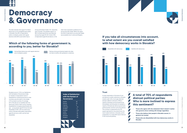**Democracy & Governance**

# **Democracy & Governance**

The data indicates that support for liberal democracy is not a straightforward matter in Slovakia. Only 49% of respondents prefer a multiparty system with regular elections while 38% would rather have a

strong authoritative leader. 13%, meanwhile, were uncertain. The greatest support, at 58%, for liberal democracy was observed among those aged 35-44. A total of 45% of respondents aged 65 and above, on the

Slovakia's score of -11.5 in our Satisfaction with the System of Governance Index, an indicator of respondents' level of dissatisfaction towards governance in their countries, puts the nation in the middle of 10 surveyed countries. On average, 60% of Slovaks are not satisfied with how democracy works in their country. However, dissatisfaction increases proportionally with age – young people aged 18-24 are the least dissatisfied, at 56%, with how democracy works in Slovakia while elderly respondents aged 65 and over, at 64%, are the most dissatisfied.

other hand, expressed a preference for a strong autocratic leader. Within the region, this level of openness to an autocratic leader was exceeded only in Latvia and Bulgaria.

### **Index of Satisfaction with the System of Governance** Austria 82 Estonia 22 Czechia 4 Lithuania - 1.5 Hungary 2 Slovakia - 11.5 Latvia - 12 Poland - 18 Romania - 32 Bulgaria - 46

**6 6** *6* **6 6** *6 6 6 <i>6 6 6 6 6 6 6 6 6 6 6 6 6 6 6 6 6 6 6 6 6 6 6 6 6 6 6 6 6 6 6* A closer examination of the level of trust and distrust in public institutions in Slovakia reveals a split, with a trust-gap observed between different institutions. While a majority of Slovaks trust the armed forces, the president, and the police, for example, a majority of Slovaks also distrust government, political parties, and the courts and judiciary. This contrast is underlined by the 72% support garnered for the armed forces, the most trusted institution in Slovakia, and its juxtaposition to a nearly 80% level of distrust in the courts and judiciary.



## **Which of the following forms of government is, according to you, better for Slovakia?**

## **Democracy & Governance**

**Trust**



## **If you take all circumstances into account, to what extent are you overall satisfied with how democracy works in Slovakia?**

## **A total of 70% of respondents distrust political parties: Who is more inclined to express this sentiment?**

**• Those who agree with the statement that it doesn't matter who governs since nothing will change regardless**

**• Those who believe that people in Slovakia cannot, in general, be trusted**

**• Those who are dissatisfied with how democracy works in**

- - **Slovakia**

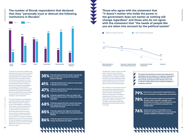# **Democracy & Governance**

**Democracy & Governance**

This distrust in the executive, legislative and judicial branches of government is associated with widespread disillusionment within the Slovak population. The survey finds that 62% of Slovaks think that the needs of people like them are not being taken into account by the political system and 56% agree with the viewpoint that it doesn't matter who governs as nothing will change regardless. This dovetails with findings that 85% of Slovaks, the highest among the 10 countries polled, believe that oligarchs and financial groups have significant control and influence over government. Only 64% of Czechs, by comparison, share this sentiment.

The feeling of alienation and dissatisfaction with political elites and public institutions leads, in general, to distrust in people, a low level of life satisfaction, a feeling that certain groups in society are favoured over others, and a belief that people are not in charge of their own lives. Only 47% of Slovak respondents think that everyone in the country has a chance to succeed in life. This compares to 72% of Poles, 60% of Czechs, and 52% of Hungarians. A majority of respondents in only two of the ten countries, Slovakia and Bulgaria, were pessimistic about life generally and their future. 56% of Slovaks agreed that most people in their country cannot be trusted.

**35%** of Slovaks believed that the needs of people like<br>
outhom are taken into account by the political<br>
outhom in Slovakie **system in Slovakia.**



**41 ° 10** of Slovaks believed that, in general, most people **in Slovakia can be trusted.**

> **47% of Slovaks agreed that in Slovakia everyone has a C** chance to succeed in life.



## **The number of Slovak respondents that declared that they "personally trust or distrust the following institutions in Slovakia"**

**56%** of Slovaks agreed that it does not matter who<br> **holds government power as nothing will change**<br> **holds** government power as nothing will change **regardless.**

The belief that "it does not matter who holds power in Slovakia and that nothing will change regardless" significantly decreases with education level. A negative correlation, furthermore, was observed between level of educational attainment and the perception that the "needs of people like you are not taken into account by the political system".

The technological and countries and the countries of Central and Central and Central and Central and Central and Central and Central and Central and Central and Central and Central and Central and Central and Central and C **79%** think that non-governmental organisations are a **beadled** secret instrument of foreign powers and interests. **78% believe that protests against the government in**<br> **Slovakia, which resulted in changes in the**<br> **Slovenment and other exual institutions in the government and other crucial institutions in the country, were controlled by and paid for by foreign actors. 76%** believe that issues of world affairs are not<br> **decided by elected leaders but by secret groups**<br> **decided by elected leaders but by secret groups aiming to establish a totalitarian world order.**



 86% of Slovaks, on the other hand, think that particular groups in society are favoured over others and 85% believe that oligarchs and financial groups have significant influence over government. This feeling of helplessness and not being in control is further underscored by a perception among respondents, at 68% and the highest in the region, that Slovakia has always been oppressed and never been able to set forth its own path.



**Those who agree with the statement that "it doesn't matter who holds the power in the government does not matter as nothing will change regardless" and those who do not agree with the statement that "the needs of people like you are taken into account by the political system"**



**68%** of Slovaks agreed that their country has always<br> **been oppressed and they were never able to**<br> **been optrol their own path** 



**85% of Slovaks agreed that oligarchs and financial groups have a strong control over government in Slovakia.**





**The belief that Slovakia has always been oppressed is interlinked with the believes in conspiracy statements. The majority of those who believe that Slovakia has always been oppressed and that Slovaks were never in control of their path are more inclined to believe in conspiracy theories:**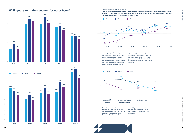





**58%**

**66%**



### Affirmative answers to three questions:



**3) for the preservation of Slovakia´s traditional values".**

also affected by education level. A negative relationship was generally observed between level of educational attainment

respondents.

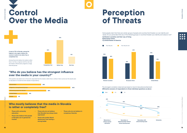



# **Control Over the Media**

## **Perception of Threats**

### **Who mostly believes that the media in Slovakia is rather or completely free?**



- **• Those with university education**
- **• Those who believe that people in Slovakia can in general be trusted**
- **• Those who do not believe that Slovakia has always been oppressed**
- **• Those who prefer liberal democracy over having a strong leader**
- **• Those who do not believe in conspiracy theories**

**16%**



## **"Who do you believe has the strongest influence over the media in your country?"**

(The question was asked only to those who responded that the media is rather free or unfree in their country but the results were re-tabulated to include the entire sample of respondents.)

**Western societes**

**Nest EU Line Construction Construction Construction Construction Construction Construction Construction Construction** 





Some people claim that there are certain groups of people and countries that threaten our own identity and values. Do you personally think any of the following groups or countries threaten your identity and values or not?

The strongest correlation observed was based on level of educational attainment: **Affirmative answers of respondents to three individual questions as above**

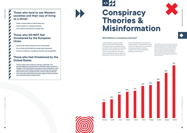

## **Those who tend to see Western societies and their way of living as a threat**

- **• Prefer a strong leader to liberal democracy**
- **• Tend to believe in conspiracy theories**
- **• Live in Eastern Slovakia (on average 60%)**

## **Those who DO NOT feel threatened by the European Union**

- **• Would prefer liberal democracy over strong leader**
- **• Do not think that Slovakia has always been oppressed**
- **• Tend not to believe in conspiracy theories (on average 80%)**

## **Those who feel threatened by the United States**

**• Tend to agree with conspiracy theories, especially "the protests against the government in Slovakia, which resulted in changes in the government and other crucial institutions in the country, were controlled and paid for by sources from abroad." 68% of those who consider the US a threat to Slovak identity and values also think that the protests against the government were orchestrated by foreign actors.**



## **Conspiracy Theories & Misinformation**

A logistic regression analysis identified five key factors contributing to people's proneness to believe in conspiracy theories and misinformation: willingness to trade away freedoms for other benefits; support for an autocratic leader; belief that the media is not free; dissatisfaction with the system; and dissatisfaction with life. Slovaks cohere with

three of these five factors and are the most conspiracy theory- and misinformation-prone nation in the region with 56% of respondents, on average, susceptible to believing statements that include conspiratorial thinking and misinformation.<sup>1</sup>

1 The percentage scores were calculated based on an average of responses in agreement with 3-4 conspiracy statements. The respondents were asked around 5-6 conspiracy statements, of which three were identical for all countries covered and the rest country-specific and selected by analysts from the respective countries. The statements with the lowest and highest percentage were excluded from the average to remove narratives that might have been strongly influenced by recent political events or by analysts' miscalculation of the predominant narratives.

50%







### **Who believes in conspiracy theories?**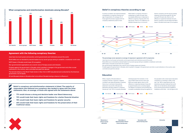### **Agreement with the following conspiracy theories:**

Jews have too much power and secretly control governments and institutions around the world.

World affairs are not decided by elected leaders but by secret groups aiming to establish a totalitarian world order.

NATO bases in Slovakia would mean US occupation.

Non-governmental organisations are a secret voice of foreign powers and interests.



Protests against the government in Slovakia, which resulted in changes in the government and other crucial institutions in the country, were controlled and paid from abroad.

The terrorist attack on the World Trade Center in New York in 2001 was planned and conducted by the American government, not Al-Qaeda.

EU and Brussels dictate to Slovakia what to do without Slovakia having a chance to influence it.

**Belief in conspiracy and misinformation statements is linked. The majority of respondents who believed one conspiracy also tended to agree with the other statements. Also, on average, of those who agreed with the statements above:**

- **• 71% would choose a strong and decisive leader over liberal democracy.**
- **• 72% would trade their basic rights and freedoms for a better financial situation**
- **• 74% would trade their basic rights and freedoms for greater security**
- **• 65% would trade their basic rights and freedoms for the preservation of their traditional values.**

### **Belief in conspiracy theories according to age**

A positive correlation was observed between susceptibility to conspiracy theories and age of respondents. On average, 61% of those aged 65 and above agreed with the conspiracy statements posed to them.

While belief in conspiracy theories is widespread no matter the age, there are sizeable differences in responses to different conspiracy theories within the age groups. There is a 17% difference, for example, between buy-in to the antiSemitic conspiracy and the secret societies statement among those aged 25-34. And among 45-54 year olds, there is a 19% difference in agreement between the anti-Semitic conspiracy and the belief that NATO bases in Slovakia would mean US occupation.

### **The percentage scores represent an average of responses in agreement with 5 conspiracies:**

Jews have too much power and secretly control governments and institutions around the world. World affairs are not decided by elected leaders but by secret groups aiming to establish a totalitarian world order. NATO bases in Slovakia would mean US occupation.

Non-governmental organisations are a secret voice of foreign powers and interests. Protests against the government in Slovakia, which resulted in changes in the government and other crucial institutions in the country, were controlled and paid from abroad.



### **Education**

While a majority of Slovaks believe in conspiracy theories, in general, a negative correlation was observed between conspiracy theory buy-in and level of educational attainment. Around 61% of Slovaks with elementary education believe in conspiracy theories yet "only" 53% of university educated

individuals share this inclination. In the case of NATO bases and the notion that NGOs are foreign agents, there is a 15% difference in responses between those with an apprenticeship and a university degree. The degree of conspiracy-prone thinking has increased considerably among the segment of

the population with a lower level of education compared to our findings in 2018. In that year, "just" 48% of respondents with only elementary education believed that world affairs are not decided by elected leaders but by secret groups aiming to establish a totalitarian world order – now the figure is 61%.





**education**

**school leaving exam**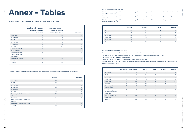**Annex - Tables**

## **Annex - Tables**

Question: "Which of the following forms of government is, according to you, better for Slovakia?"

|                                                                 | Having a strong and decisive<br>leader who does not have to<br>bother with parliament<br>or elections. | <b>Having liberal democracy</b><br>with regular elections<br>and multiparty system. | Do not know     |
|-----------------------------------------------------------------|--------------------------------------------------------------------------------------------------------|-------------------------------------------------------------------------------------|-----------------|
| 18 - 24 years                                                   | 38                                                                                                     | 48                                                                                  | 14              |
| 25 - 34 years                                                   | 35                                                                                                     | 54                                                                                  | 11              |
| 35 - 44 years                                                   | 27                                                                                                     | 58                                                                                  | 15              |
| 45 - 54 years                                                   | 41                                                                                                     | 48                                                                                  | 11              |
| 55 - 64 years                                                   | 43                                                                                                     | 42                                                                                  | 15              |
| $65 + years$                                                    | 45                                                                                                     | 40                                                                                  | 14              |
| Elementary/without<br>formal education                          | 49                                                                                                     | 32                                                                                  | 20              |
| Secondary or appren-<br>ticeship without school<br>leaving exam | 39                                                                                                     | 42                                                                                  | 19              |
| Secondary with school<br>leaving exam                           | 37                                                                                                     | 52                                                                                  | 12 <sup>°</sup> |
| University                                                      | 32                                                                                                     | 62                                                                                  | 6               |

|                                     |                  |                     | 25 – 34 years           |    |    | 60 | 53 |    |
|-------------------------------------|------------------|---------------------|-------------------------|----|----|----|----|----|
|                                     | <b>Satisfied</b> | <b>Dissatisfied</b> | 35 - 44 years           | 51 | 61 | 63 | 56 |    |
|                                     |                  | 56                  | 45 - 54 years           | 49 | 61 | 68 | 60 |    |
| 18 - 24 years                       | 42               |                     | 55 - 64 years           | 56 | 63 | 67 | 59 | 56 |
| 25 - 34 years                       | 38               | 60                  | $65 + years$            | 55 | 62 | 67 | 63 | 60 |
| 35 - 44 years                       | 40               | 59                  | Elementary/without      | 55 | 63 | 68 | 63 | 54 |
| 45 - 54 years                       | 38               | 60                  | formal education        |    |    |    |    |    |
| 55 - 64 years                       | 37               | 61                  | Secondary or appren-    | 52 | 62 | 71 | 65 | 63 |
| $65 + years$                        | 34               | 64                  | ticeship without school |    |    |    |    |    |
| Elementary/ without formal educa-   | 32               | 62                  | leaving exam            |    |    |    |    |    |
| tion                                |                  |                     | Secondary with school   | 49 | 59 | 63 | 55 | 50 |
| Secondary or                        | 35               | 64                  | leaving exam            |    |    |    |    |    |
| apprenticeship without school leav- |                  |                     | University              | 51 | 59 | 56 | 50 | 50 |
| ing exam                            |                  |                     |                         |    |    |    |    |    |
| Secondary with school leaving exam  | 37               | 62                  |                         |    |    |    |    |    |
| University                          | 47               | 52                  |                         |    |    |    |    |    |

Question: "If you take all circumstances into account, to what extent are you overall satisfied with how democracy works in Slovakia?"

Affirmative answers to three questions:

"Would you trade some of your rights and freedoms - for example freedom to travel, to associate or free speech for better financial situation of you and your household?" "Would you trade some of your rights and freedoms - for example freedom to travel, to associate or free speech for greater security in our country?" "Would you trade some of your rights and freedoms - for example freedom to travel, to associate or free speech for the preservation of

Slovakia´s traditional values?"

|               | <b>Finances</b> | <b>Security</b> | <b>Values</b> | <b>Average</b> |
|---------------|-----------------|-----------------|---------------|----------------|
| 18 - 24 years | 59              | 56              | 41            | 52             |
| 25 - 34 years | 59              | 66              | 48            | 57             |
| 35 - 44 years | 68              | 70              | 57            | 65             |
| 45 - 54 years | 62              | 65              | 58            | 62             |
| 55 - 64 years | 74              | 74              | 65            | 71             |
| $65 + years$  | 71              | 75              | 72            | 73             |

Affirmative answers to conspiracy statements:

"Jews have too much power and secretly control governments and institutions around the world." "World affairs are not decided by elected leaders but by secret groups aiming to establish a totalitarian world order." "NATO bases in Slovakia would mean US occupation."

"Non-governmental organisations are a secret voice of foreign powers and interests." "Protests against the government in Slovakia, which resulted in changes in the government and other crucial institutions in the country, were controlled and paid from abroad."

|                                                                 | <b>Anti-Semitic</b> | <b>Secret groups</b> | <b>NATO</b> | <b>NGOs</b> | <b>Protests</b> | <b>Average</b> |
|-----------------------------------------------------------------|---------------------|----------------------|-------------|-------------|-----------------|----------------|
| $18 - 24$ years                                                 | 52                  | 49                   | 61          | 55          | 53              | 54             |
| $25 - 34$ years                                                 | 44                  | 61                   | 60          | 53          | 48              | 53             |
| 35 - 44 years                                                   | 51                  | 61                   | 63          | 56          | 53              | 57             |
| 45 - 54 years                                                   | 49                  | 61                   | 68          | 60          | 55              | 59             |
| 55 - 64 years                                                   | 56                  | 63                   | 67          | 59          | 56              | 60             |
| $65 + years$                                                    | 55                  | 62                   | 67          | 63          | 60              | 61             |
| Elementary/ without<br>formal education                         | 55                  | 63                   | 68          | 63          | 54              | 61             |
| Secondary or appren-<br>ticeship without school<br>leaving exam | 52                  | 62                   | 71          | 65          | 63              | 63             |
| Secondary with school<br>leaving exam                           | 49                  | 59                   | 63          | 55          | 50              | 55             |
| University                                                      | 51                  | 59                   | 56          | 50          | 50              | 53             |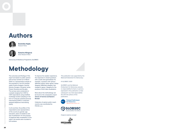## **Authors**



**Dominika Hajdu** Research Fellow



**Katarína Klingová** Senior Research Fellow

Democracy & Resilience Programme, GLOBSEC

## **Methodology**

The outcomes and findings of this report are based on public opinion poll surveys carried out in March 2020 on a representative sample of the population in ten EU member states: Austria, Bulgaria, Czechia, Estonia, Hungary, Lithuania, Latvia, Poland, Romania and Slovakia. The surveys were conducted on a sample ranging from 1,000 to 1,047 respondents using stratified multistage random sampling in the form of computer assisted personal interviewing (CAPI) or computerassisted telephone interviewing (CATI).

In all countries, the profiles of the respondents were representative of the country by gender, age, education, place of residence and size of settlement. For the purpose of graphical data visualisation in this report, the results were rounded to full numbers.

To improve the readers' experience, the responses in closed questions with a scale were generalised. For example, a question with options definitely agree/ rather agree/ /rather disagree /definitely disagree, was merged to agree / disagree for the purpose of both data visualisation.

More about the methodology can be found in the comparative report **Voices of Central and Eastern Europe.** 

Collection of opinion polls in each country was coordinated by FOCUS, s.r.o.



### *© GLOBSEC 2020*

*GLOBSEC and the National Endowment for Democracy assume no responsibility for facts or opinions expressed in this publication or their subsequent use. Sole responsibility lies with the authors of this publication.*





*Original creative concept*